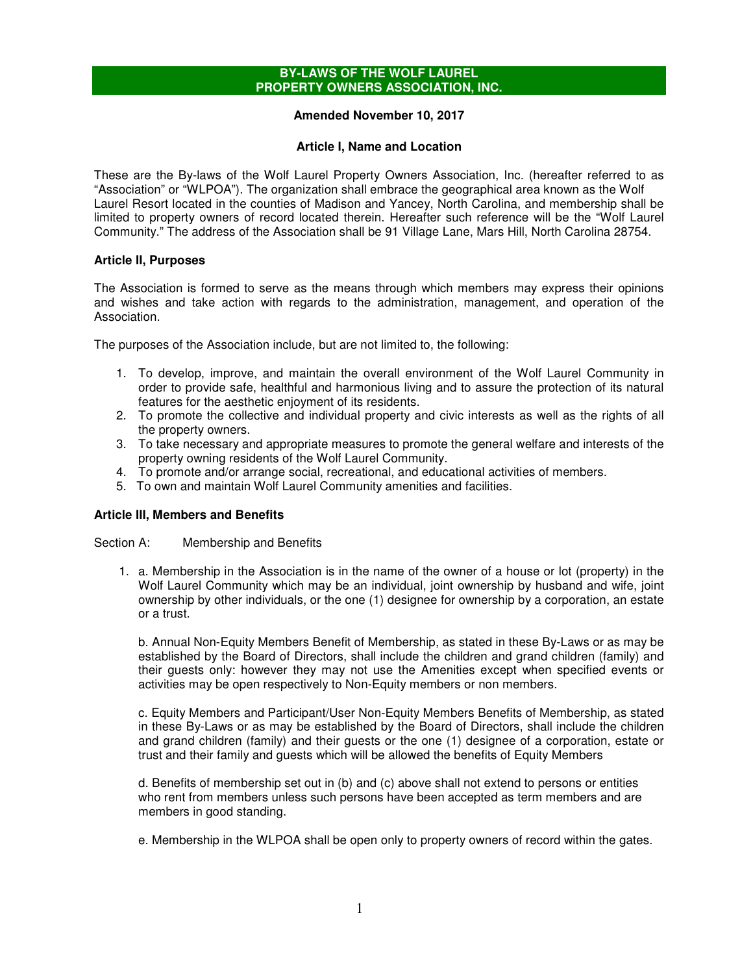## **BY-LAWS OF THE WOLF LAUREL PROPERTY OWNERS ASSOCIATION, INC.**

# **Amended November 10, 2017**

# **Article I, Name and Location**

These are the By-laws of the Wolf Laurel Property Owners Association, Inc. (hereafter referred to as "Association" or "WLPOA"). The organization shall embrace the geographical area known as the Wolf Laurel Resort located in the counties of Madison and Yancey, North Carolina, and membership shall be limited to property owners of record located therein. Hereafter such reference will be the "Wolf Laurel Community." The address of the Association shall be 91 Village Lane, Mars Hill, North Carolina 28754.

# **Article II, Purposes**

The Association is formed to serve as the means through which members may express their opinions and wishes and take action with regards to the administration, management, and operation of the Association.

The purposes of the Association include, but are not limited to, the following:

- 1. To develop, improve, and maintain the overall environment of the Wolf Laurel Community in order to provide safe, healthful and harmonious living and to assure the protection of its natural features for the aesthetic enjoyment of its residents.
- 2. To promote the collective and individual property and civic interests as well as the rights of all the property owners.
- 3. To take necessary and appropriate measures to promote the general welfare and interests of the property owning residents of the Wolf Laurel Community.
- 4. To promote and/or arrange social, recreational, and educational activities of members.
- 5. To own and maintain Wolf Laurel Community amenities and facilities.

# **Article III, Members and Benefits**

Section A: Membership and Benefits

1. a. Membership in the Association is in the name of the owner of a house or lot (property) in the Wolf Laurel Community which may be an individual, joint ownership by husband and wife, joint ownership by other individuals, or the one (1) designee for ownership by a corporation, an estate or a trust.

b. Annual Non-Equity Members Benefit of Membership, as stated in these By-Laws or as may be established by the Board of Directors, shall include the children and grand children (family) and their guests only: however they may not use the Amenities except when specified events or activities may be open respectively to Non-Equity members or non members.

c. Equity Members and Participant/User Non-Equity Members Benefits of Membership, as stated in these By-Laws or as may be established by the Board of Directors, shall include the children and grand children (family) and their guests or the one (1) designee of a corporation, estate or trust and their family and guests which will be allowed the benefits of Equity Members

d. Benefits of membership set out in (b) and (c) above shall not extend to persons or entities who rent from members unless such persons have been accepted as term members and are members in good standing.

e. Membership in the WLPOA shall be open only to property owners of record within the gates.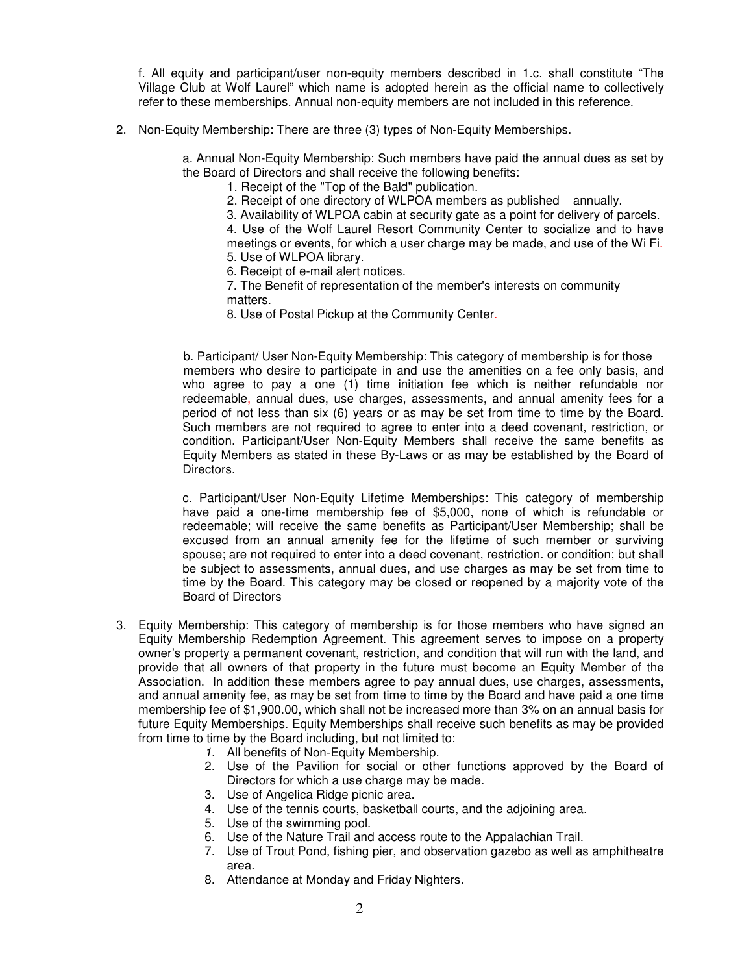f. All equity and participant/user non-equity members described in 1.c. shall constitute "The Village Club at Wolf Laurel" which name is adopted herein as the official name to collectively refer to these memberships. Annual non-equity members are not included in this reference.

2. Non-Equity Membership: There are three (3) types of Non-Equity Memberships.

a. Annual Non-Equity Membership: Such members have paid the annual dues as set by the Board of Directors and shall receive the following benefits:

1. Receipt of the "Top of the Bald" publication.

2. Receipt of one directory of WLPOA members as published annually.

3. Availability of WLPOA cabin at security gate as a point for delivery of parcels.

4. Use of the Wolf Laurel Resort Community Center to socialize and to have meetings or events, for which a user charge may be made, and use of the Wi Fi. 5. Use of WLPOA library.

- 6. Receipt of e-mail alert notices.
- 7. The Benefit of representation of the member's interests on community matters.
- 8. Use of Postal Pickup at the Community Center.

b. Participant/ User Non-Equity Membership: This category of membership is for those members who desire to participate in and use the amenities on a fee only basis, and who agree to pay a one (1) time initiation fee which is neither refundable nor redeemable, annual dues, use charges, assessments, and annual amenity fees for a period of not less than six (6) years or as may be set from time to time by the Board. Such members are not required to agree to enter into a deed covenant, restriction, or condition. Participant/User Non-Equity Members shall receive the same benefits as Equity Members as stated in these By-Laws or as may be established by the Board of Directors.

c. Participant/User Non-Equity Lifetime Memberships: This category of membership have paid a one-time membership fee of \$5,000, none of which is refundable or redeemable; will receive the same benefits as Participant/User Membership; shall be excused from an annual amenity fee for the lifetime of such member or surviving spouse; are not required to enter into a deed covenant, restriction. or condition; but shall be subject to assessments, annual dues, and use charges as may be set from time to time by the Board. This category may be closed or reopened by a majority vote of the Board of Directors

- 3. Equity Membership: This category of membership is for those members who have signed an Equity Membership Redemption Agreement. This agreement serves to impose on a property owner's property a permanent covenant, restriction, and condition that will run with the land, and provide that all owners of that property in the future must become an Equity Member of the Association. In addition these members agree to pay annual dues, use charges, assessments, and annual amenity fee, as may be set from time to time by the Board and have paid a one time membership fee of \$1,900.00, which shall not be increased more than 3% on an annual basis for future Equity Memberships. Equity Memberships shall receive such benefits as may be provided from time to time by the Board including, but not limited to:
	- 1. All benefits of Non-Equity Membership.
	- 2. Use of the Pavilion for social or other functions approved by the Board of Directors for which a use charge may be made.
	- 3. Use of Angelica Ridge picnic area.
	- 4. Use of the tennis courts, basketball courts, and the adjoining area.
	- 5. Use of the swimming pool.
	- 6. Use of the Nature Trail and access route to the Appalachian Trail.
	- 7. Use of Trout Pond, fishing pier, and observation gazebo as well as amphitheatre area.
	- 8. Attendance at Monday and Friday Nighters.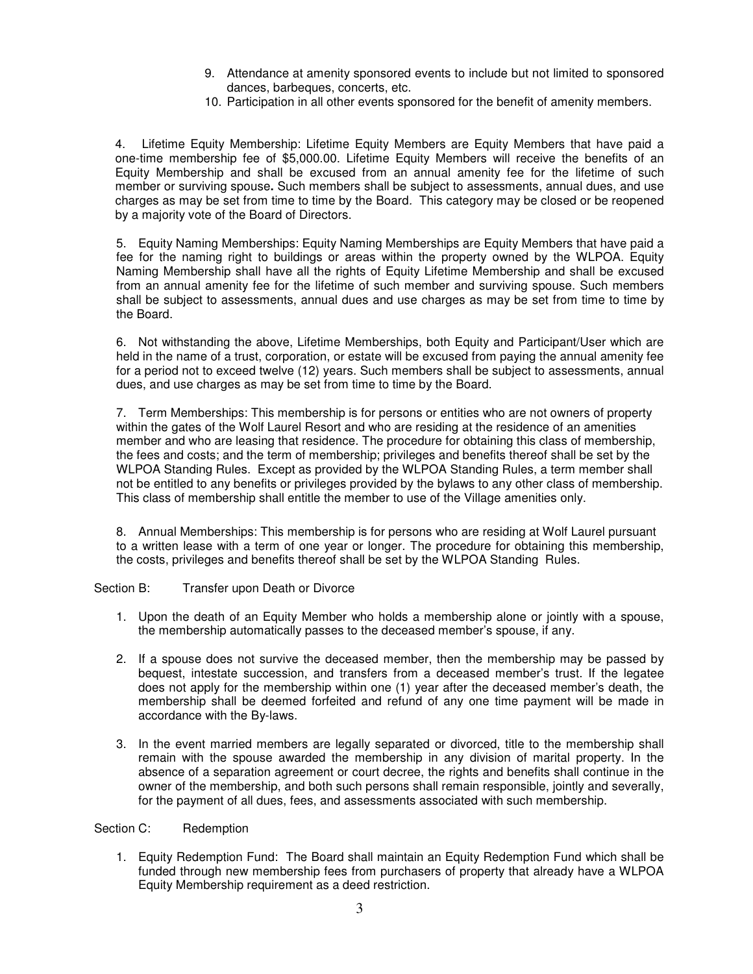- 9. Attendance at amenity sponsored events to include but not limited to sponsored dances, barbeques, concerts, etc.
- 10. Participation in all other events sponsored for the benefit of amenity members.

4. Lifetime Equity Membership: Lifetime Equity Members are Equity Members that have paid a one-time membership fee of \$5,000.00. Lifetime Equity Members will receive the benefits of an Equity Membership and shall be excused from an annual amenity fee for the lifetime of such member or surviving spouse**.** Such members shall be subject to assessments, annual dues, and use charges as may be set from time to time by the Board. This category may be closed or be reopened by a majority vote of the Board of Directors.

5. Equity Naming Memberships: Equity Naming Memberships are Equity Members that have paid a fee for the naming right to buildings or areas within the property owned by the WLPOA. Equity Naming Membership shall have all the rights of Equity Lifetime Membership and shall be excused from an annual amenity fee for the lifetime of such member and surviving spouse. Such members shall be subject to assessments, annual dues and use charges as may be set from time to time by the Board.

6. Not withstanding the above, Lifetime Memberships, both Equity and Participant/User which are held in the name of a trust, corporation, or estate will be excused from paying the annual amenity fee for a period not to exceed twelve (12) years. Such members shall be subject to assessments, annual dues, and use charges as may be set from time to time by the Board.

7. Term Memberships: This membership is for persons or entities who are not owners of property within the gates of the Wolf Laurel Resort and who are residing at the residence of an amenities member and who are leasing that residence. The procedure for obtaining this class of membership, the fees and costs; and the term of membership; privileges and benefits thereof shall be set by the WLPOA Standing Rules. Except as provided by the WLPOA Standing Rules, a term member shall not be entitled to any benefits or privileges provided by the bylaws to any other class of membership. This class of membership shall entitle the member to use of the Village amenities only.

8. Annual Memberships: This membership is for persons who are residing at Wolf Laurel pursuant to a written lease with a term of one year or longer. The procedure for obtaining this membership, the costs, privileges and benefits thereof shall be set by the WLPOA Standing Rules.

Section B: Transfer upon Death or Divorce

- 1. Upon the death of an Equity Member who holds a membership alone or jointly with a spouse, the membership automatically passes to the deceased member's spouse, if any.
- 2. If a spouse does not survive the deceased member, then the membership may be passed by bequest, intestate succession, and transfers from a deceased member's trust. If the legatee does not apply for the membership within one (1) year after the deceased member's death, the membership shall be deemed forfeited and refund of any one time payment will be made in accordance with the By-laws.
- 3. In the event married members are legally separated or divorced, title to the membership shall remain with the spouse awarded the membership in any division of marital property. In the absence of a separation agreement or court decree, the rights and benefits shall continue in the owner of the membership, and both such persons shall remain responsible, jointly and severally, for the payment of all dues, fees, and assessments associated with such membership.

Section C: Redemption

1. Equity Redemption Fund: The Board shall maintain an Equity Redemption Fund which shall be funded through new membership fees from purchasers of property that already have a WLPOA Equity Membership requirement as a deed restriction.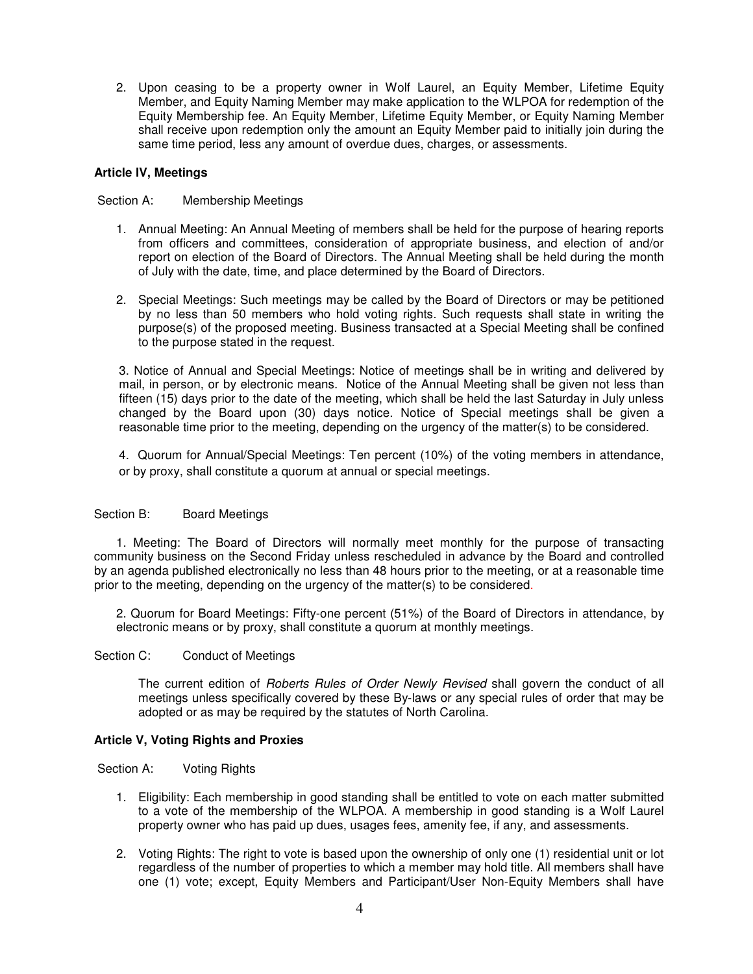2. Upon ceasing to be a property owner in Wolf Laurel, an Equity Member, Lifetime Equity Member, and Equity Naming Member may make application to the WLPOA for redemption of the Equity Membership fee. An Equity Member, Lifetime Equity Member, or Equity Naming Member shall receive upon redemption only the amount an Equity Member paid to initially join during the same time period, less any amount of overdue dues, charges, or assessments.

# **Article IV, Meetings**

Section A: Membership Meetings

- 1. Annual Meeting: An Annual Meeting of members shall be held for the purpose of hearing reports from officers and committees, consideration of appropriate business, and election of and/or report on election of the Board of Directors. The Annual Meeting shall be held during the month of July with the date, time, and place determined by the Board of Directors.
- 2. Special Meetings: Such meetings may be called by the Board of Directors or may be petitioned by no less than 50 members who hold voting rights. Such requests shall state in writing the purpose(s) of the proposed meeting. Business transacted at a Special Meeting shall be confined to the purpose stated in the request.

3. Notice of Annual and Special Meetings: Notice of meetings shall be in writing and delivered by mail, in person, or by electronic means. Notice of the Annual Meeting shall be given not less than fifteen (15) days prior to the date of the meeting, which shall be held the last Saturday in July unless changed by the Board upon (30) days notice. Notice of Special meetings shall be given a reasonable time prior to the meeting, depending on the urgency of the matter(s) to be considered.

4. Quorum for Annual/Special Meetings: Ten percent (10%) of the voting members in attendance, or by proxy, shall constitute a quorum at annual or special meetings.

# Section B: Board Meetings

1. Meeting: The Board of Directors will normally meet monthly for the purpose of transacting community business on the Second Friday unless rescheduled in advance by the Board and controlled by an agenda published electronically no less than 48 hours prior to the meeting, or at a reasonable time prior to the meeting, depending on the urgency of the matter(s) to be considered.

2. Quorum for Board Meetings: Fifty-one percent (51%) of the Board of Directors in attendance, by electronic means or by proxy, shall constitute a quorum at monthly meetings.

#### Section C: Conduct of Meetings

The current edition of Roberts Rules of Order Newly Revised shall govern the conduct of all meetings unless specifically covered by these By-laws or any special rules of order that may be adopted or as may be required by the statutes of North Carolina.

#### **Article V, Voting Rights and Proxies**

Section A: Voting Rights

- 1. Eligibility: Each membership in good standing shall be entitled to vote on each matter submitted to a vote of the membership of the WLPOA. A membership in good standing is a Wolf Laurel property owner who has paid up dues, usages fees, amenity fee, if any, and assessments.
- 2. Voting Rights: The right to vote is based upon the ownership of only one (1) residential unit or lot regardless of the number of properties to which a member may hold title. All members shall have one (1) vote; except, Equity Members and Participant/User Non-Equity Members shall have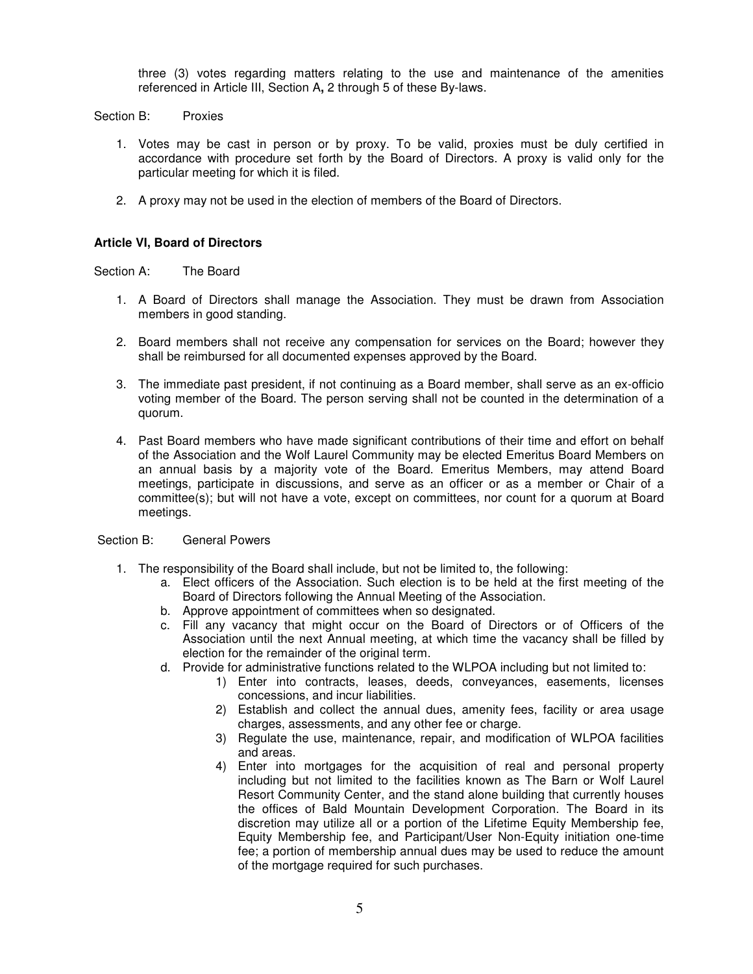three (3) votes regarding matters relating to the use and maintenance of the amenities referenced in Article III, Section A**,** 2 through 5 of these By-laws.

Section B: Proxies

- 1. Votes may be cast in person or by proxy. To be valid, proxies must be duly certified in accordance with procedure set forth by the Board of Directors. A proxy is valid only for the particular meeting for which it is filed.
- 2. A proxy may not be used in the election of members of the Board of Directors.

## **Article VI, Board of Directors**

Section A: The Board

- 1. A Board of Directors shall manage the Association. They must be drawn from Association members in good standing.
- 2. Board members shall not receive any compensation for services on the Board; however they shall be reimbursed for all documented expenses approved by the Board.
- 3. The immediate past president, if not continuing as a Board member, shall serve as an ex-officio voting member of the Board. The person serving shall not be counted in the determination of a quorum.
- 4. Past Board members who have made significant contributions of their time and effort on behalf of the Association and the Wolf Laurel Community may be elected Emeritus Board Members on an annual basis by a majority vote of the Board. Emeritus Members, may attend Board meetings, participate in discussions, and serve as an officer or as a member or Chair of a committee(s); but will not have a vote, except on committees, nor count for a quorum at Board meetings.

#### Section B: General Powers

- 1. The responsibility of the Board shall include, but not be limited to, the following:
	- a. Elect officers of the Association. Such election is to be held at the first meeting of the Board of Directors following the Annual Meeting of the Association.
	- b. Approve appointment of committees when so designated.
	- c. Fill any vacancy that might occur on the Board of Directors or of Officers of the Association until the next Annual meeting, at which time the vacancy shall be filled by election for the remainder of the original term.
	- d. Provide for administrative functions related to the WLPOA including but not limited to:
		- 1) Enter into contracts, leases, deeds, conveyances, easements, licenses concessions, and incur liabilities.
		- 2) Establish and collect the annual dues, amenity fees, facility or area usage charges, assessments, and any other fee or charge.
		- 3) Regulate the use, maintenance, repair, and modification of WLPOA facilities and areas.
		- 4) Enter into mortgages for the acquisition of real and personal property including but not limited to the facilities known as The Barn or Wolf Laurel Resort Community Center, and the stand alone building that currently houses the offices of Bald Mountain Development Corporation. The Board in its discretion may utilize all or a portion of the Lifetime Equity Membership fee, Equity Membership fee, and Participant/User Non-Equity initiation one-time fee; a portion of membership annual dues may be used to reduce the amount of the mortgage required for such purchases.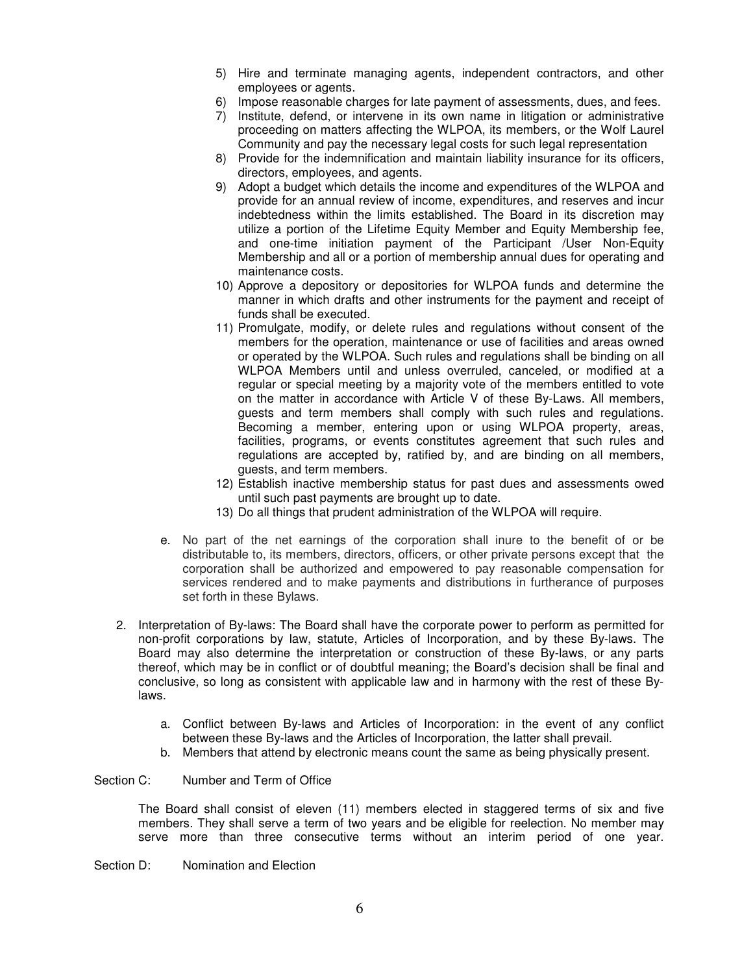- 5) Hire and terminate managing agents, independent contractors, and other employees or agents.
- 6) Impose reasonable charges for late payment of assessments, dues, and fees.
- 7) Institute, defend, or intervene in its own name in litigation or administrative proceeding on matters affecting the WLPOA, its members, or the Wolf Laurel Community and pay the necessary legal costs for such legal representation
- 8) Provide for the indemnification and maintain liability insurance for its officers, directors, employees, and agents.
- 9) Adopt a budget which details the income and expenditures of the WLPOA and provide for an annual review of income, expenditures, and reserves and incur indebtedness within the limits established. The Board in its discretion may utilize a portion of the Lifetime Equity Member and Equity Membership fee, and one-time initiation payment of the Participant /User Non-Equity Membership and all or a portion of membership annual dues for operating and maintenance costs.
- 10) Approve a depository or depositories for WLPOA funds and determine the manner in which drafts and other instruments for the payment and receipt of funds shall be executed.
- 11) Promulgate, modify, or delete rules and regulations without consent of the members for the operation, maintenance or use of facilities and areas owned or operated by the WLPOA. Such rules and regulations shall be binding on all WLPOA Members until and unless overruled, canceled, or modified at a regular or special meeting by a majority vote of the members entitled to vote on the matter in accordance with Article V of these By-Laws. All members, guests and term members shall comply with such rules and regulations. Becoming a member, entering upon or using WLPOA property, areas, facilities, programs, or events constitutes agreement that such rules and regulations are accepted by, ratified by, and are binding on all members, guests, and term members.
- 12) Establish inactive membership status for past dues and assessments owed until such past payments are brought up to date.
- 13) Do all things that prudent administration of the WLPOA will require.
- e. No part of the net earnings of the corporation shall inure to the benefit of or be distributable to, its members, directors, officers, or other private persons except that the corporation shall be authorized and empowered to pay reasonable compensation for services rendered and to make payments and distributions in furtherance of purposes set forth in these Bylaws.
- 2. Interpretation of By-laws: The Board shall have the corporate power to perform as permitted for non-profit corporations by law, statute, Articles of Incorporation, and by these By-laws. The Board may also determine the interpretation or construction of these By-laws, or any parts thereof, which may be in conflict or of doubtful meaning; the Board's decision shall be final and conclusive, so long as consistent with applicable law and in harmony with the rest of these Bylaws.
	- a. Conflict between By-laws and Articles of Incorporation: in the event of any conflict between these By-laws and the Articles of Incorporation, the latter shall prevail.
	- b. Members that attend by electronic means count the same as being physically present.

#### Section C: Number and Term of Office

The Board shall consist of eleven (11) members elected in staggered terms of six and five members. They shall serve a term of two years and be eligible for reelection. No member may serve more than three consecutive terms without an interim period of one year.

Section D: Nomination and Election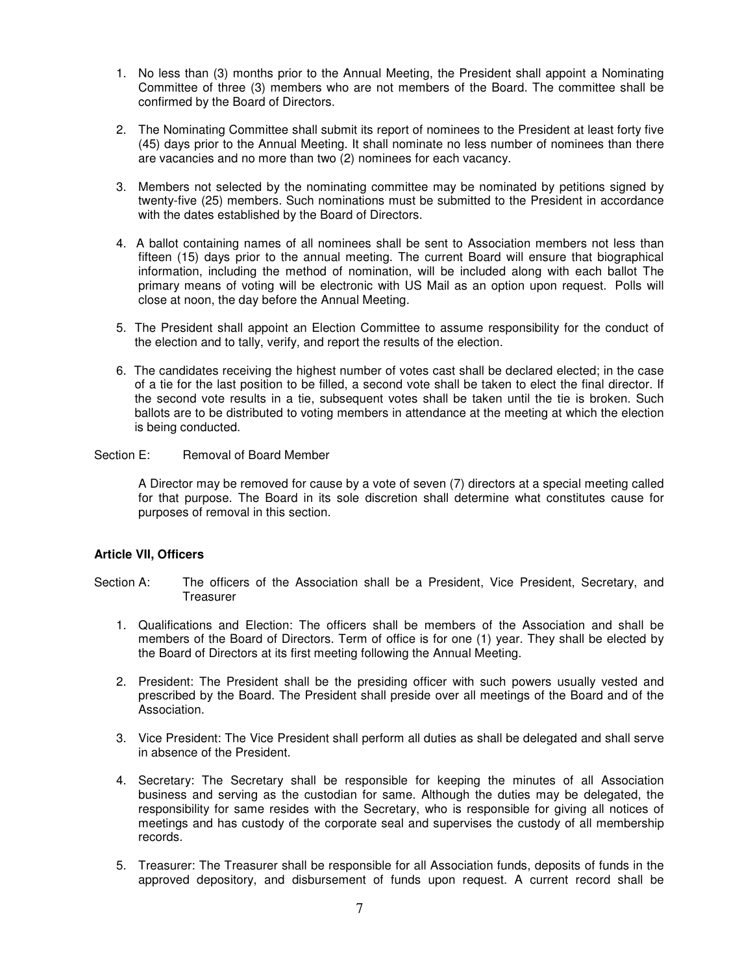- 1. No less than (3) months prior to the Annual Meeting, the President shall appoint a Nominating Committee of three (3) members who are not members of the Board. The committee shall be confirmed by the Board of Directors.
- 2. The Nominating Committee shall submit its report of nominees to the President at least forty five (45) days prior to the Annual Meeting. It shall nominate no less number of nominees than there are vacancies and no more than two (2) nominees for each vacancy.
- 3. Members not selected by the nominating committee may be nominated by petitions signed by twenty-five (25) members. Such nominations must be submitted to the President in accordance with the dates established by the Board of Directors.
- 4. A ballot containing names of all nominees shall be sent to Association members not less than fifteen (15) days prior to the annual meeting. The current Board will ensure that biographical information, including the method of nomination, will be included along with each ballot The primary means of voting will be electronic with US Mail as an option upon request. Polls will close at noon, the day before the Annual Meeting.
- 5. The President shall appoint an Election Committee to assume responsibility for the conduct of the election and to tally, verify, and report the results of the election.
- 6. The candidates receiving the highest number of votes cast shall be declared elected; in the case of a tie for the last position to be filled, a second vote shall be taken to elect the final director. If the second vote results in a tie, subsequent votes shall be taken until the tie is broken. Such ballots are to be distributed to voting members in attendance at the meeting at which the election is being conducted.

Section E: Removal of Board Member

A Director may be removed for cause by a vote of seven (7) directors at a special meeting called for that purpose. The Board in its sole discretion shall determine what constitutes cause for purposes of removal in this section.

#### **Article VII, Officers**

- Section A: The officers of the Association shall be a President, Vice President, Secretary, and Treasurer
	- 1. Qualifications and Election: The officers shall be members of the Association and shall be members of the Board of Directors. Term of office is for one (1) year. They shall be elected by the Board of Directors at its first meeting following the Annual Meeting.
	- 2. President: The President shall be the presiding officer with such powers usually vested and prescribed by the Board. The President shall preside over all meetings of the Board and of the Association.
	- 3. Vice President: The Vice President shall perform all duties as shall be delegated and shall serve in absence of the President.
	- 4. Secretary: The Secretary shall be responsible for keeping the minutes of all Association business and serving as the custodian for same. Although the duties may be delegated, the responsibility for same resides with the Secretary, who is responsible for giving all notices of meetings and has custody of the corporate seal and supervises the custody of all membership records.
	- 5. Treasurer: The Treasurer shall be responsible for all Association funds, deposits of funds in the approved depository, and disbursement of funds upon request. A current record shall be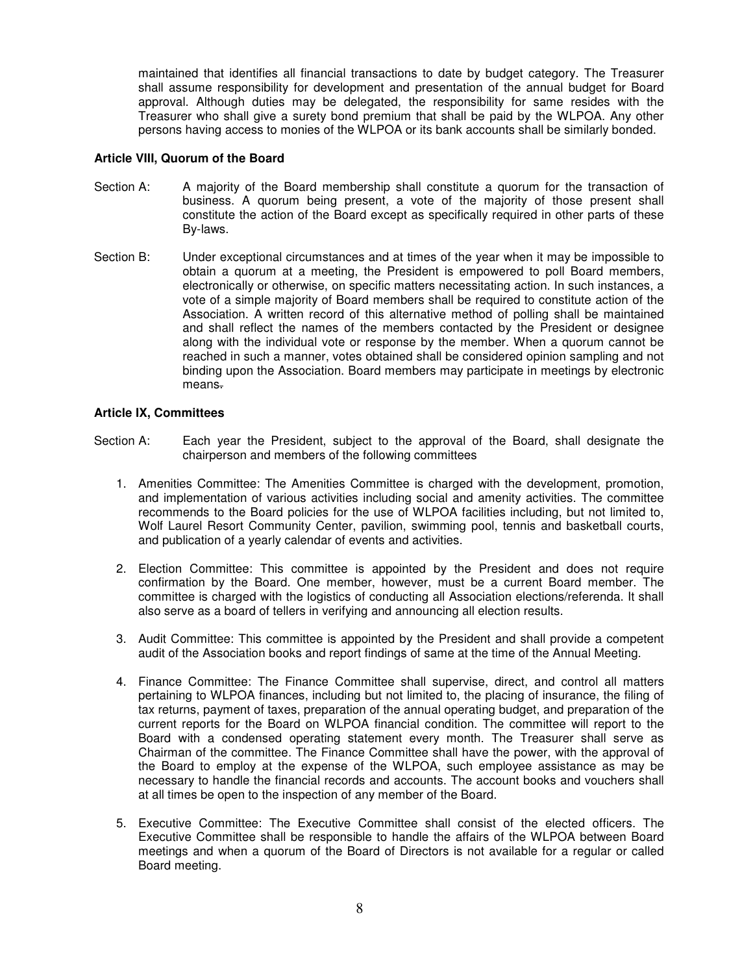maintained that identifies all financial transactions to date by budget category. The Treasurer shall assume responsibility for development and presentation of the annual budget for Board approval. Although duties may be delegated, the responsibility for same resides with the Treasurer who shall give a surety bond premium that shall be paid by the WLPOA. Any other persons having access to monies of the WLPOA or its bank accounts shall be similarly bonded.

### **Article VIII, Quorum of the Board**

- Section A: A majority of the Board membership shall constitute a quorum for the transaction of business. A quorum being present, a vote of the majority of those present shall constitute the action of the Board except as specifically required in other parts of these By-laws.
- Section B: Under exceptional circumstances and at times of the year when it may be impossible to obtain a quorum at a meeting, the President is empowered to poll Board members, electronically or otherwise, on specific matters necessitating action. In such instances, a vote of a simple majority of Board members shall be required to constitute action of the Association. A written record of this alternative method of polling shall be maintained and shall reflect the names of the members contacted by the President or designee along with the individual vote or response by the member. When a quorum cannot be reached in such a manner, votes obtained shall be considered opinion sampling and not binding upon the Association. Board members may participate in meetings by electronic means.

# **Article IX, Committees**

- Section A: Each year the President, subject to the approval of the Board, shall designate the chairperson and members of the following committees
	- 1. Amenities Committee: The Amenities Committee is charged with the development, promotion, and implementation of various activities including social and amenity activities. The committee recommends to the Board policies for the use of WLPOA facilities including, but not limited to, Wolf Laurel Resort Community Center, pavilion, swimming pool, tennis and basketball courts, and publication of a yearly calendar of events and activities.
	- 2. Election Committee: This committee is appointed by the President and does not require confirmation by the Board. One member, however, must be a current Board member. The committee is charged with the logistics of conducting all Association elections/referenda. It shall also serve as a board of tellers in verifying and announcing all election results.
	- 3. Audit Committee: This committee is appointed by the President and shall provide a competent audit of the Association books and report findings of same at the time of the Annual Meeting.
	- 4. Finance Committee: The Finance Committee shall supervise, direct, and control all matters pertaining to WLPOA finances, including but not limited to, the placing of insurance, the filing of tax returns, payment of taxes, preparation of the annual operating budget, and preparation of the current reports for the Board on WLPOA financial condition. The committee will report to the Board with a condensed operating statement every month. The Treasurer shall serve as Chairman of the committee. The Finance Committee shall have the power, with the approval of the Board to employ at the expense of the WLPOA, such employee assistance as may be necessary to handle the financial records and accounts. The account books and vouchers shall at all times be open to the inspection of any member of the Board.
	- 5. Executive Committee: The Executive Committee shall consist of the elected officers. The Executive Committee shall be responsible to handle the affairs of the WLPOA between Board meetings and when a quorum of the Board of Directors is not available for a regular or called Board meeting.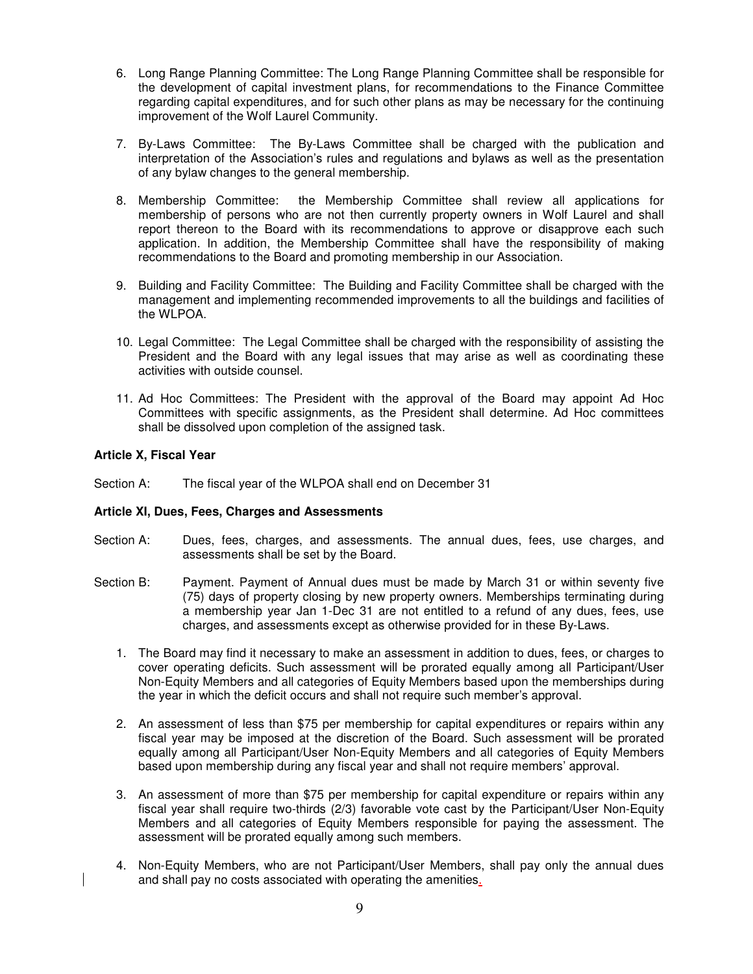- 6. Long Range Planning Committee: The Long Range Planning Committee shall be responsible for the development of capital investment plans, for recommendations to the Finance Committee regarding capital expenditures, and for such other plans as may be necessary for the continuing improvement of the Wolf Laurel Community.
- 7. By-Laws Committee: The By-Laws Committee shall be charged with the publication and interpretation of the Association's rules and regulations and bylaws as well as the presentation of any bylaw changes to the general membership.
- 8. Membership Committee: the Membership Committee shall review all applications for membership of persons who are not then currently property owners in Wolf Laurel and shall report thereon to the Board with its recommendations to approve or disapprove each such application. In addition, the Membership Committee shall have the responsibility of making recommendations to the Board and promoting membership in our Association.
- 9. Building and Facility Committee: The Building and Facility Committee shall be charged with the management and implementing recommended improvements to all the buildings and facilities of the WLPOA.
- 10. Legal Committee: The Legal Committee shall be charged with the responsibility of assisting the President and the Board with any legal issues that may arise as well as coordinating these activities with outside counsel.
- 11. Ad Hoc Committees: The President with the approval of the Board may appoint Ad Hoc Committees with specific assignments, as the President shall determine. Ad Hoc committees shall be dissolved upon completion of the assigned task.

#### **Article X, Fiscal Year**

Section A: The fiscal year of the WLPOA shall end on December 31

#### **Article XI, Dues, Fees, Charges and Assessments**

- Section A: Dues, fees, charges, and assessments. The annual dues, fees, use charges, and assessments shall be set by the Board.
- Section B: Payment. Payment of Annual dues must be made by March 31 or within seventy five (75) days of property closing by new property owners. Memberships terminating during a membership year Jan 1-Dec 31 are not entitled to a refund of any dues, fees, use charges, and assessments except as otherwise provided for in these By-Laws.
	- 1. The Board may find it necessary to make an assessment in addition to dues, fees, or charges to cover operating deficits. Such assessment will be prorated equally among all Participant/User Non-Equity Members and all categories of Equity Members based upon the memberships during the year in which the deficit occurs and shall not require such member's approval.
	- 2. An assessment of less than \$75 per membership for capital expenditures or repairs within any fiscal year may be imposed at the discretion of the Board. Such assessment will be prorated equally among all Participant/User Non-Equity Members and all categories of Equity Members based upon membership during any fiscal year and shall not require members' approval.
	- 3. An assessment of more than \$75 per membership for capital expenditure or repairs within any fiscal year shall require two-thirds (2/3) favorable vote cast by the Participant/User Non-Equity Members and all categories of Equity Members responsible for paying the assessment. The assessment will be prorated equally among such members.
	- 4. Non-Equity Members, who are not Participant/User Members, shall pay only the annual dues and shall pay no costs associated with operating the amenities.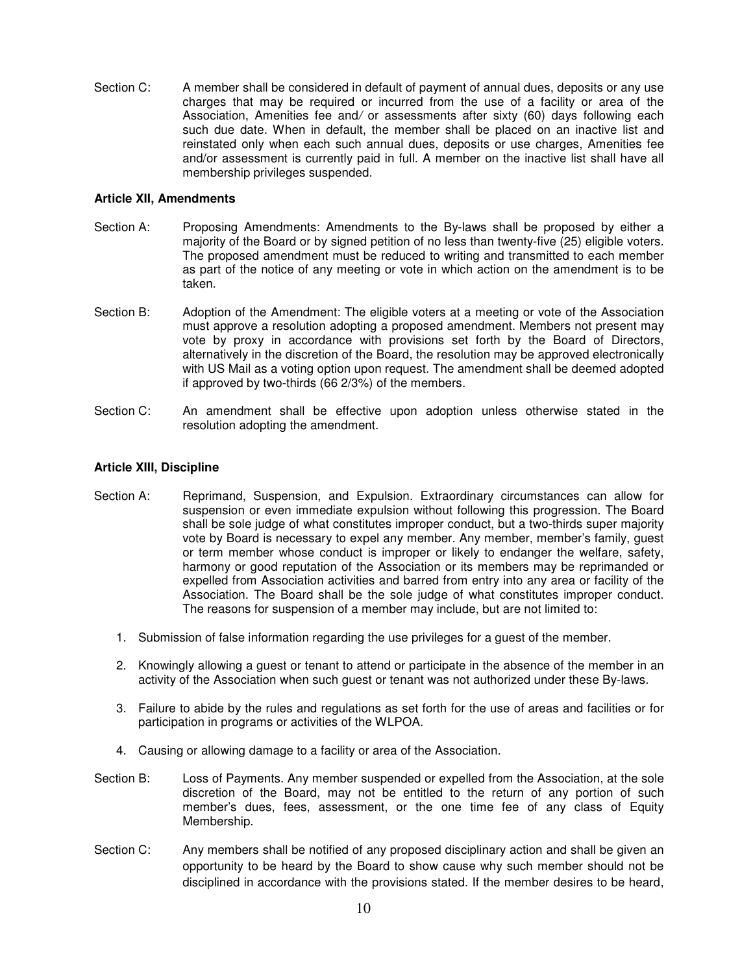Section C: A member shall be considered in default of payment of annual dues, deposits or any use charges that may be required or incurred from the use of a facility or area of the Association, Amenities fee and/ or assessments after sixty (60) days following each such due date. When in default, the member shall be placed on an inactive list and reinstated only when each such annual dues, deposits or use charges, Amenities fee and/or assessment is currently paid in full. A member on the inactive list shall have all membership privileges suspended.

### **Article XII, Amendments**

- Section A: Proposing Amendments: Amendments to the By-laws shall be proposed by either a majority of the Board or by signed petition of no less than twenty-five (25) eligible voters. The proposed amendment must be reduced to writing and transmitted to each member as part of the notice of any meeting or vote in which action on the amendment is to be taken.
- Section B: Adoption of the Amendment: The eligible voters at a meeting or vote of the Association must approve a resolution adopting a proposed amendment. Members not present may vote by proxy in accordance with provisions set forth by the Board of Directors, alternatively in the discretion of the Board, the resolution may be approved electronically with US Mail as a voting option upon request. The amendment shall be deemed adopted if approved by two-thirds (66 2/3%) of the members.
- Section C: An amendment shall be effective upon adoption unless otherwise stated in the resolution adopting the amendment.

# **Article XIII, Discipline**

- Section A: Reprimand, Suspension, and Expulsion. Extraordinary circumstances can allow for suspension or even immediate expulsion without following this progression. The Board shall be sole judge of what constitutes improper conduct, but a two-thirds super majority vote by Board is necessary to expel any member. Any member, member's family, guest or term member whose conduct is improper or likely to endanger the welfare, safety, harmony or good reputation of the Association or its members may be reprimanded or expelled from Association activities and barred from entry into any area or facility of the Association. The Board shall be the sole judge of what constitutes improper conduct. The reasons for suspension of a member may include, but are not limited to:
	- 1. Submission of false information regarding the use privileges for a guest of the member.
	- 2. Knowingly allowing a guest or tenant to attend or participate in the absence of the member in an activity of the Association when such guest or tenant was not authorized under these By-laws.
	- 3. Failure to abide by the rules and regulations as set forth for the use of areas and facilities or for participation in programs or activities of the WLPOA.
	- 4. Causing or allowing damage to a facility or area of the Association.
- Section B: Loss of Payments. Any member suspended or expelled from the Association, at the sole discretion of the Board, may not be entitled to the return of any portion of such member's dues, fees, assessment, or the one time fee of any class of Equity Membership.
- Section C: Any members shall be notified of any proposed disciplinary action and shall be given an opportunity to be heard by the Board to show cause why such member should not be disciplined in accordance with the provisions stated. If the member desires to be heard,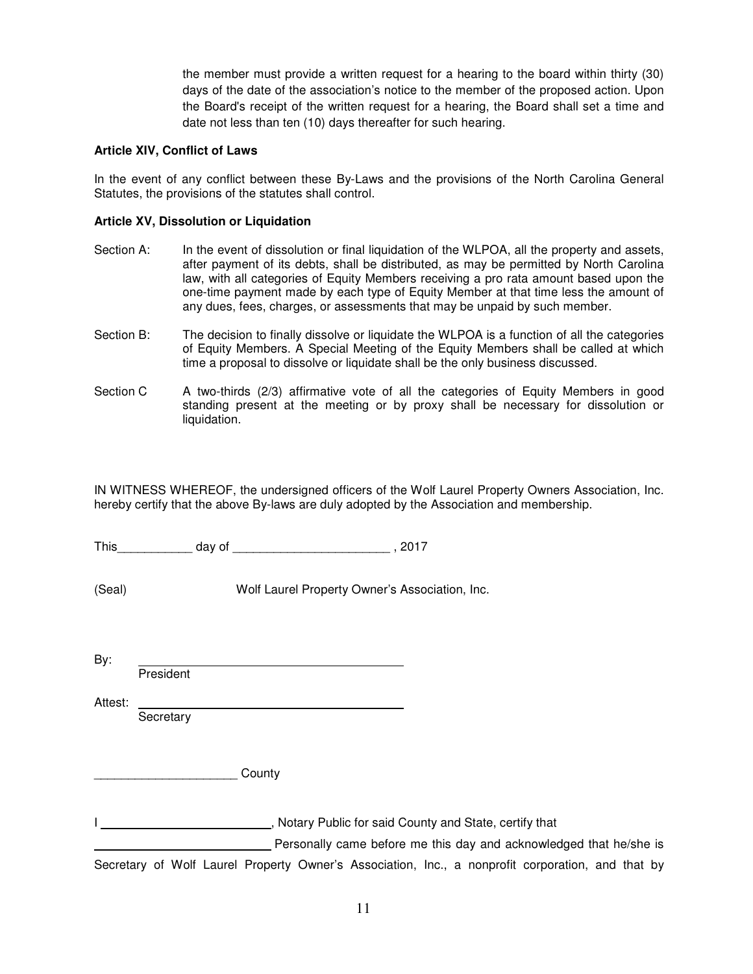the member must provide a written request for a hearing to the board within thirty (30) days of the date of the association's notice to the member of the proposed action. Upon the Board's receipt of the written request for a hearing, the Board shall set a time and date not less than ten (10) days thereafter for such hearing.

### **Article XIV, Conflict of Laws**

In the event of any conflict between these By-Laws and the provisions of the North Carolina General Statutes, the provisions of the statutes shall control.

# **Article XV, Dissolution or Liquidation**

- Section A: In the event of dissolution or final liquidation of the WLPOA, all the property and assets, after payment of its debts, shall be distributed, as may be permitted by North Carolina law, with all categories of Equity Members receiving a pro rata amount based upon the one-time payment made by each type of Equity Member at that time less the amount of any dues, fees, charges, or assessments that may be unpaid by such member.
- Section B: The decision to finally dissolve or liquidate the WLPOA is a function of all the categories of Equity Members. A Special Meeting of the Equity Members shall be called at which time a proposal to dissolve or liquidate shall be the only business discussed.
- Section C A two-thirds (2/3) affirmative vote of all the categories of Equity Members in good standing present at the meeting or by proxy shall be necessary for dissolution or liquidation.

IN WITNESS WHEREOF, the undersigned officers of the Wolf Laurel Property Owners Association, Inc. hereby certify that the above By-laws are duly adopted by the Association and membership.

This day of the control of the control of the control of the control of the control of the control of the control of the control of the control of the control of the control of the control of the control of the control of

(Seal) Wolf Laurel Property Owner's Association, Inc.

By:

President

Attest: **Secretary** 

 $\blacksquare$   $\blacksquare$  County

I \_\_\_\_\_\_\_\_\_\_\_\_\_\_\_\_\_\_\_\_\_\_\_\_\_\_\_\_\_\_, Notary Public for said County and State, certify that

Personally came before me this day and acknowledged that he/she is

Secretary of Wolf Laurel Property Owner's Association, Inc., a nonprofit corporation, and that by